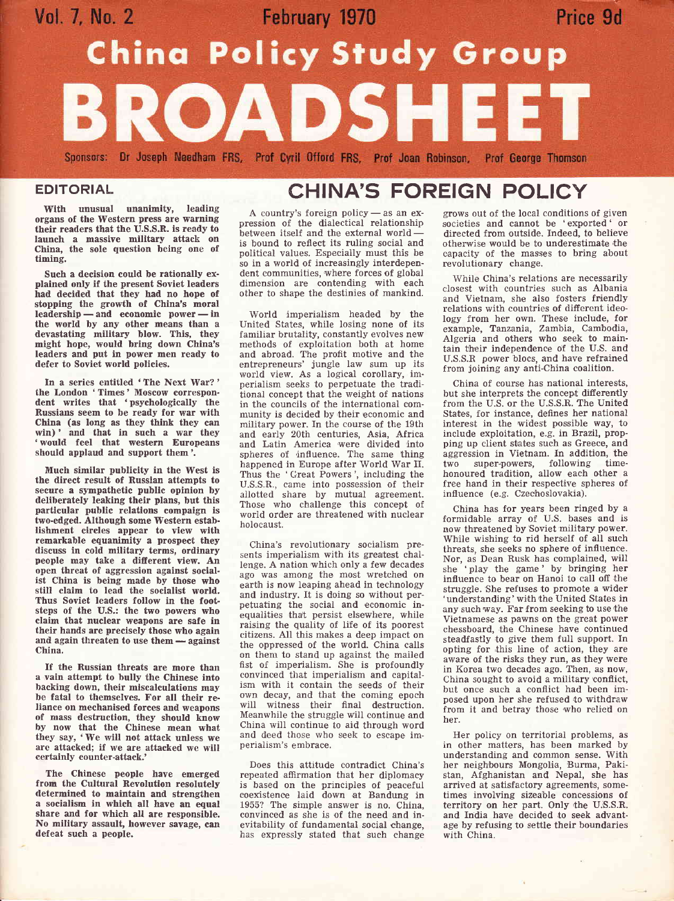

## **EDITORIAL**

With unusual unanimity, leading organs of the Western press are warning their readers that the U.S.S.R. is ready to launch a massive milltary attack on China, the sole question being one of timing.

Such a decision could be rationally explained only if the present Soviet leaders had decided that they had no hope of stopping the growth of China's moral leadership — and economic power — in readership — and economic power — in<br>the world by any other means than a devastating military blow. This, they might hope, would bring down China's leaders and put in power men ready to defer to Soviet world policies.

In a series entitled 'The Next War? ' the London 'Times' Moscow correspon-dent writes that 'psychologically the Russians seem to be ready for war with China (as long as they think they can win)' and that in such a war they 'would feel that western Europeans should applaud and support them'.

Much similar publicity in the West is the direet result of Russian attempts to secure a sympathetic public opinion by deliberately leaking their plans, but this partlcular publlc relatlons compaign is two-edged. Although some Western establishment circles appear to view with remarkable equanimity a prospect they discuss in cold military terms, ordinary people may take a difrerent view. An open threat of aggression against social. ist China is being made by those who still claim to lead the socialist world. Thus Soviet leaders follow in the footsteps of the U.S.: the two powers who claim that nuclear weapons are safe in their hands are precisely those who again and again threaten to use <mark>them —</mark> against<br>China. China.

If the Russian threats are more than a vain attempt to bully the Chinese into backing down, their miscalculations may be fatal to themselves. For all their reliance on mechanised forces and weapons of rnass destruction, they should know by now that the Chinese mean what they say, 'We will not attack unless we are attacked; if we are attacked we will certainly eounter-attack.'

The Chinese people have emerged from the Cultural Revolution resolutely determined to maintain and strengthen a socialism in which all have an equal share and for which all are responsible. No military assault, however savage, can defeat such a people.

# CHINA'S FOREIGN POLICY

A country's foreign policy  $-$  as an expression of the dialectical relationship between itself and the external world - is bound to reflect its ruling social and political values. Especially must this be so in a world of increasingly interdependent communities, where forces of global dimension are contending with each other to shape the destinies of mankind.

World imperialism headed by the United States, while losing none of its familiar brutality, constantly evolves new methods of exploitation both at home and abroad. The profit motive and the entrepreneurs' jungle law sum up its world view. As a logical corollary, imperialism seeks to perpetuate the tradi tional concept that the weight of nations in the councils of the international community is decided by their economic and military power. In the course of the 19th and early 20th centuries, Asia, Africa and Latin America were divided into spheres of influence. The same thing happened in Europe after World War II. Thus the 'Great Powers', including the U.S.S.R., came into possession of their ailotted share by mutual agreement. Those who challenge this concept of world order are threatened with nuclear holocaust.

China's revolutionary socialism presents imperialism with its greatest challenge. A nation which only a few decades ago was among the most wretched on earth is now leaping ahead in technology and industry. It is doing so without perpetuating the social and economic inequalities that persist elsewhere, while raising the quality of life of its poorest citizens. All this makes a deep impact on the oppressed of the world. China calls on them to stand up against the mailed fist of imperialism. She is profoundly convinced that imperialism and capitalism with it contain the seeds of their own decay, and that the coming epoch will witness their final destruction. Meanwhile the struggle will continue and China will continue to aid through word and deed those who seek to escape imperialism's embrace.

Does this attitude contradict China's repeated affirmation that her diplomacy is based on the principles of peaceful coexistence laid down at Bandung in 1955? The simple answer is no. China, convinced as she is of the need and inevitability of fundamental social ehange, has expressly stated that such change

grows out of the local conditions of given societies and cannot be 'exported' or directed from outside. Indeed, to believe otherwise would be to underestimate the oapacity of the masses to bring about revolutionary change.

While China's relations are necessarily closest with countries such as Albania and Vietnam, she also fosters fniendly relations with countries of different ideology from her own. These include, for example, Tanzania, Zambia, Cambodia, Algeria and others who seek to maintain their independence of the U.S. and U.S.S.R power blocs, and have refrained from joining any anti-China coalition.

China of course has national interests, but she interprets the concept differently from the U.S. or the U.S.S.R. The United States, for instance, defines her national interest in the widest possible way, to include exploitation, e.g. in Brazil, propping up client states such as Greece, and aggression in Vietnam. In addition, the two super-powers, following timehonoured tradition, allow each other <sup>a</sup> free hand in their respective spheres of influence (e.9. Czechoslovakia).

China has for years been ringed by <sup>a</sup> formidable array of U.S. bases and is now threatened by Soviet military power. While wishing to rid herself of all such threats, she seeks no sphere of influence. Nor, as Dean Rusk has complained, will she 'play the game ' by bringing her influence to bear on Hanoi to call off the struggle. She refuses to promote a wider 'understanding' with the United States in any such way. Far from seeking to use the Vietnamese as pawns on the great power chessboard, the Chinese have continued steadfastly to give them full support. In opting for this line of action, they are aware of the risks they run, as they were in Korea two decades ago. Then, as now, China sought to avoid a military conflict, but once such a conflict had been imposed upon her she refused to withdraw from it and betray those who relied on her.

Her policy on territorial problems, as in other matters, has been marked by understanding and common sense. With her neighbours Mongolia, Burma, Pakistan, Afghanistan and Nepal, she has arrived at satisfactory agreements, sometimes involving sizeable concessions of territory on her part. Only the U.S.S.R. and India have decided to seek advantage by refusing to settle their boundaries with China.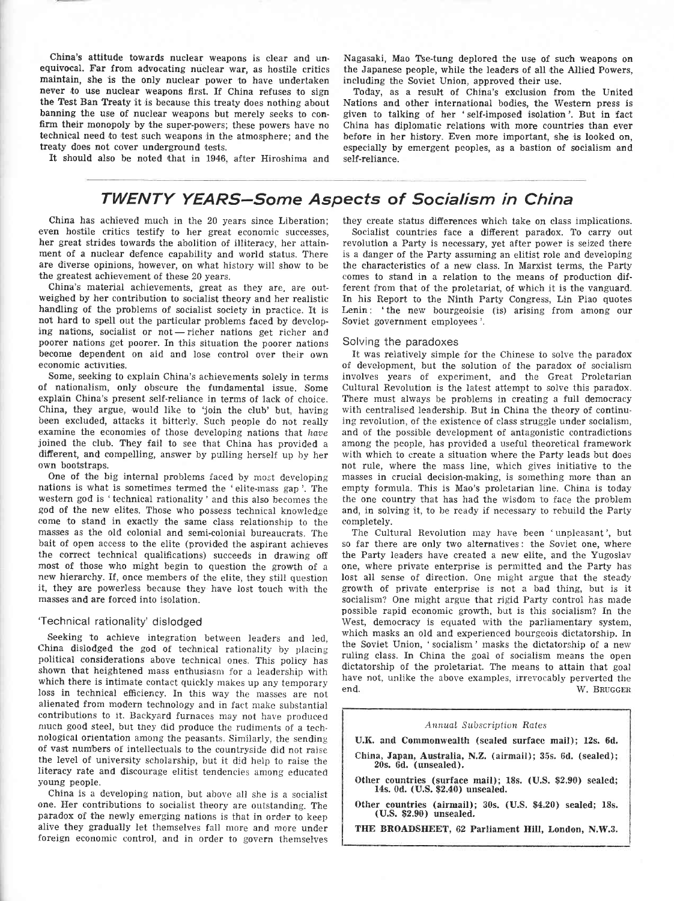China's attitude towards nuclear weapons is clear and unequivocal. Far from advocating nuclear war, as hostile critics maintain, she is the only nuclear power to have undertaken never to use nuclear weapons first. If China refuses to sign the Test Ban Treaty it is because this treaty does nothing about banning the use of nuclear weapons but merely seeks to confirm their monopoly by the super-powers; these powers have no technical need to test such weapons in the atmosphere; and the treaty does not cover underground tests.

It should also be noted that in 1946, after Hiroshima and

## TWENTY YEARS-Some Aspects of Socialism in China

China has achieved much in the 20 years since Liberation; even hostile critics testify to her great economic successes, her great strides towards the abolition of illiteracy, her attainment of a nuclear defence capability and world status. There are diverse opinions, however, on what history will show to be the greatest achievement of these 20 years.

China's material achievements, great as they are, are outweighed by her contribution to socialist theory and her realistic handling of the problems of socialist society in practice. It is not hard to spell out the particular problems faced by developing nations, socialist or not - richer nations get richer and mg nations, socialist of not - ficher hations get ficher and<br>poorer nations get poorer. In this situation the poorer nations become dependent on aid and lose control over their own economic activities.

Some, seeking to explain China's achievements solely in terms of nationalism, only obscure the fundamental issue. Some explaln China's present self-reliance in terms of lack of choice. China, they argue, would like to 'join the club' but, having been excluded, attacks it bitterly. Such people do not really examine the economies of those developing nations that have joined the club. They fail to see that China has provided <sup>a</sup> different, and compelling, answer by pulling herself up by her own bootstraps.

One of the big internal problems faced by most developing nations is what is sometimes termed the 'elite-mass gap'. The western god is 'technical rationality' and this also hecomes the god of the new elites. Those who possess technical knowledge come to stand in exactly the same class relationship to the masses as the old colonial and semi-colonial bureaucrats. The bait of open access to the elite (provided the aspirant achieves the correct technical qualifications) succeeds in drawing off most of those who might begin to question the growth of <sup>a</sup> new hierarchy. If, once members of the elite, they still question it, they are powerless because they have lost touch with the masses and are forced into isolation.

### 'Technical rationality' dislodged

Seeking to achieve integration between leaders and led, China dislodged the god of technical rationality by placing political considerations above technical ones. This policy has shown that heightened mass enthusiasn for a ieadership with which there is intimate contact quickly makes up any temporary loss in technical efficiency. In this way the masses are not alienated from modern technology and in fact make substantial contributions to it. Backyard furnaces may not have produced much good steel, but they did produce the rudiments of a technological orientation among the peasants. Similarly, the sending of vast numhers of intellectuals to the countryside did not raise the level of university scholarship, but it did help to raise the literacy rate and discourage elitist tendencies among educated young people.

China is a developing nation, but above all she is a socialist one. Her contributions to socialist theory are outstanding. The paradox of the newly emerging nations is that in order to keep alive they gradually let themselves faII more and more under foreign economic control, and in order to govern themseives Nagasaki, Mao Tse-tung deplored the use of such weapons on the Japanese people, while the leaders of all the Allied Powers, including the Soviet Union, approved their use.

Today, as a result of China's exclusion from the United Nations and other international bodies, the Western press is given to talking of her 'self-imposed isolation'. But in fact China has diplomatic relations with more countries than ever before in her history. Even more important, she is looked on, especially by emergent peoples, as a bastion of socialism and self-reliance.

### they create status differences which take on class implications.

Socialist countries face a different paradox. To carry out revolution a Party is necessary, yet after power is seized there is a danger of the Party assuming an elitist role and developing the characteristics of a new class. In Marxist terms, the Party com'es to stand in a relation to the means of production different from that of the proletariat, of which it is the vanguard. In his Report to the Ninth Party Congress, Lin Piao quotes Lenin: 'the new bourgeoisie (is) arising from among our Soviet government employees '.

### Solving the paradoxes

It was reiatively simple for the Chinese to solve the paradox of development, but the solution of the paradox of socialism involves years of experiment, and the Great Proletarian Cultural Revolution is the latest attempt to solve this paradox. There must always be problems in creating a full democracy with centralised leadership. But in China the theory of continuing revoiution, of the existence of class struggle under socialism, and of the possible development of antagonistic contradictions among the people, has provided a useful theoretieal framework with which to create a situation where the Party leads but does not rule, where the mass line, which gives initiative to the masses in crucial decision-making, is something more than an empty formula. This is Mao's proletarian line. China is today the one country that has had the wisdom to face the problem and, in solving it, to be ready if necessary to rebuild the Party completely.

The Cultural Revolution may have been 'unpleasant', but so far there are only two alternatives: the Soviet one, where the Party leaders have created a new elite, and the Yugosiav one, where private enterprise is permitted and the Party has lost all sense of direction. One might argue that the steady growth of private enterprise is not a bad thing, but is it socialism? One might argue that rigid Party control has made possible rapid economic growth, but is this socialism? In ihe West, democracy is equated with the parliamentary system, which masks an old and experienced bourgeois dictatorship. In the Soviet Union, 'socialism' masks the dictatorship of a new ruling class. In China the goal of socialism means the open dictatorship of the proletariat. The means to attain that goal have not, unlike the above examples, irrevocably perverted the end. W. BRUGGER

#### Annual Subscription Rates

U.K. and Commonwealth (scaled surface mail); 12s. 6d.

- China, Japan, Australia, N.Z. (airmail); 35s. 6d. (sealed); 20s. 6d. (unsealed).
- Other countries (surface mail); 18s. (U.S. \$2.90) sealed; l4s. 0d. (U.S. \$2.40) unsealed.
- Other countries (airmail); 30s. (U.S. \$4.20) sealed; 18s. (U.S. \$2.90) unsealed.

THE BROADSHEET, 62 Parliament Hill, London, N.W.3.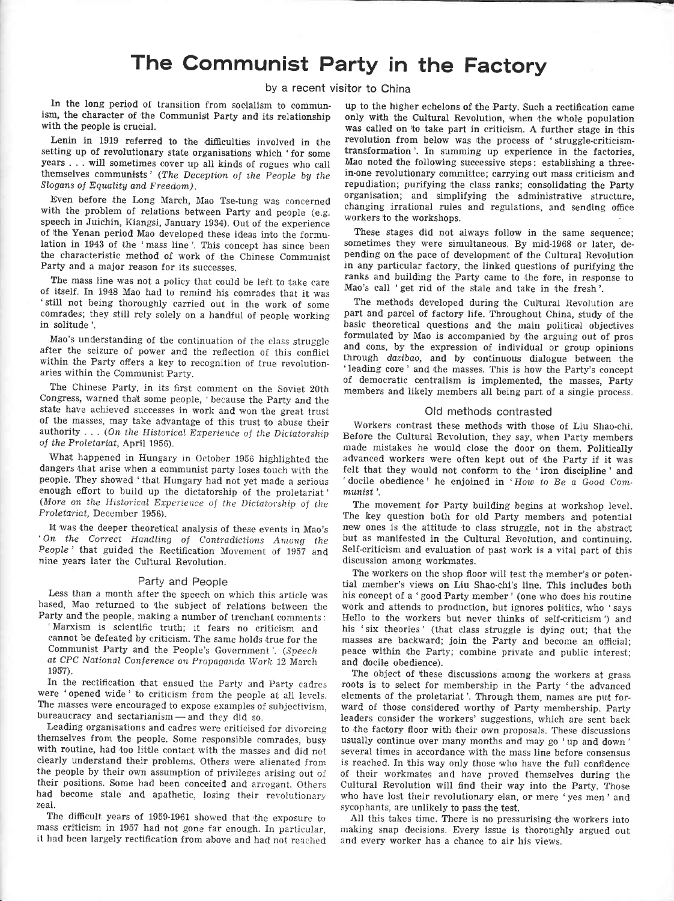# The Communist Party in the Factory

### by a recent visitor to China

In the long period of transition from socialism to communism, the character of the Communist party and its relationship with the people is crucial.

Lenin in 1919 referred to the difficulties involved in the setting up of revolutionary state organisations which 'for some years . . . will sometimes cover up all kinds of rogues who call themselves communists' (The Deception of ihe people bg the Slogans of Equality and Freedom).

Even before the Long March, Mao Tse-tung was concerned with the problem of relations between party and people (e.g. speech in Juichin, Kiangsi, January 1984). Out of the experience of the Yenan period Mao developed these ideas into the formulation in 1943 of the 'mass line'. This concept has since been the characteristic method of work of the Chinese Communist Party and a major reason for its successes.

The mass line was not a policy that could be left to take care of itself. In 1948 Mao had to remind his comrades that it was 'still not being thoroughly carried out in the work of some comrades; they still rely solely on a handful of people working in solitude.

Mao's understanding of the continuation of the class struggle after the seizure of power and the reflection of this conflict within the Party offers a key to recognition of true revolutionaries within the Communist Party.

The Chinese Party, in its first comment on the Soviet 20th Congress, warned that some people, 'because the Party and the state have achieved successes in work and won the great trust of the masses, may take advantage of this trust to abuse their authority  $\ldots$  (On the Historical Experience of the Dictatorship of the Proletariat, April 1956).

What happened in Hungary in October 1956 highlighted the dangers that arise when a communist party loses touch with the people. They showed 'that Hungary had not yet made a serious enough efiort to build up the dictatorship of the proletariat' (More on the Historical Experience of the Dictatorship of the <sup>P</sup>roletariat, December 1956).

It was the deeper theoretical analysis of these events in Mao's ' On the Correct Handling of Contradictions Among the People' that guided the Rectification Movement of 1957 and nine years later the Cultural Revolution.

#### Party and People

Less than a month after the speech on which this article was based, Mao returned to the subject of relations between the Party and the people, making a number of trenchant comments:

'Marxism is scientific truth; it fears no criticism and cannot be defeated by criticism. The same holds true for the Communist Party and the People's Government'. (Speech at CPC National Conference on Propaganda Work 12 March 1957).

In the rectification that ensued the Party and Party cadres were 'opened wide' to criticism from the people at all levels. The masses were encouraged to expose examples of suhjectivism, bureaucracy and sectarianism-and they did so.

Leading organisations and cadres were criticised for divorcing themselves from the people. Some responsible comrades, busy with routine, had too little contact with the masses and did not clearly understand their problems. Others were alienated from the people by their own assumption of privileges arising out of their positions. Some had been conceited and arrogant. Others had become stale and apathetic, losing their revolutionary zeal.

The difficult years of 1959-1961 showed that the exposure to mass criticism in 1957 had not gone far enough. In particular, it had been largely rectification from above and had not reached

up to the higher echelons of the Party. Such a rectification came only with the Cultural Revolution, when the whole population was called on to take part in criticism. A further stage in this revolution from below was the process of 'struggle-criticismtransformation'. In summing up experience in the factories, Mao noted the following successive steps: establishing a threein-one revolutionary committee; carrying out mass criticism and repudiation; purifying the class ranks; consolidating the Party organisation; and simplifying the administrative structure, changing irrational ruies and regulations, and sending office workers to the workshops.

These stages did not always follow in the same sequence; sometimes they were simultaneous, By mid-1968 or later, depending on the pace of development of the Cultural Revolution in any particular factory, the linked questions of purifying the ranks and building the Party came to the fore, in response to Mao's caII 'get rid of the stale and take in the fresh'.

The methods developed during the Cultural Revolution are part and parcel of factory life. Throughout China, study of the basic theoretical questions and the main political objectives formulated by Mao is accompanied by the arguing out of pros and cons, by the expression of individual or group opinions through dazibao, and by continuous dialogue between the 'leading core ' and the masses. This is how the Party's concept of democratic centralism is implemented, the masses, Party members and likely members all being part of a single process.

#### Old methods contrasted

Workers contrast these methods with those of Liu Shao-chi. Before the Cultural Revolution, they say, when Party members made mistakes he would close the door on them. Politically advanced workers were often kept out of the Party if it was felt that they would not conform to the 'iron discipline' and 'docile obedience' he enjoined in 'How to Be a Good Communist'.

The movement for Party building begins at workshop level. The key question both for old Party members and potential new ones is the attitude to class struggle, not in the abstract but as manifested in the Cultural Revolution, and continuing. Self-criticism and evaluation of past work is a vital part of this discussion among workmates.

The workers on the shop floor will test the member's or potential member's views on Liu Shao-chi's line. This includes both his concept of a 'good Party member' (one who does his routine work and attends to production, but ignores politics, who 'says Hello to the workers but never thinks of self-criticism') and his 'six theories' (that class struggle is dying out; that the masses are backward; join the Party and become an official; peace within the Party; combine private and public interest; and docile obedience).

The object of these discussions among the workers at grass roots is to select for membership in the Party 'the advanced elements of the proletariat'. Through them, names are put forward of those considered worthy of Party membership. Party leaders consider the workers' suggestions, which are sent back to the factory floor with their own propcsals. These discussions usually continue over many months and may go 'up and down' several times in accordance with the mass line before consensus is reached. In this way only those who have the full confidence of their workmates and have proved themselves during the Cultural Revolution will find their way into the Party. Those who have lost their revolutionary elan, or mere 'yes men' and sycophants, are unlikely to pass the test.

All this takes time. There is no pressurising the workers into making snap decisions. Every issue is thoroughly argued out and every worker has a chanee to air his views.